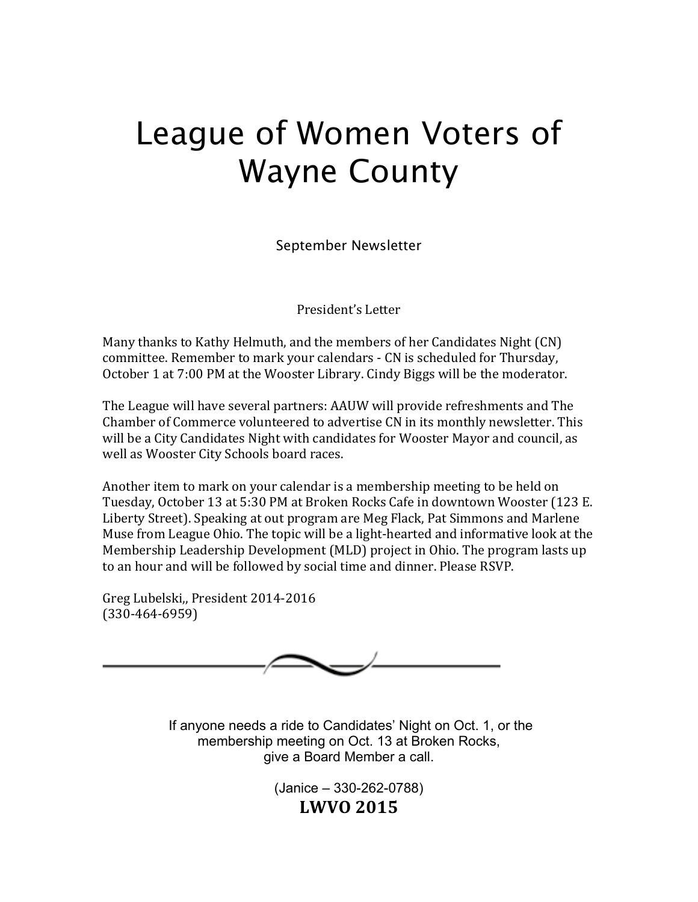# League of Women Voters of Wayne County

September Newsletter

President's Letter

Many thanks to Kathy Helmuth, and the members of her Candidates Night (CN) committee. Remember to mark your calendars - CN is scheduled for Thursday, October 1 at 7:00 PM at the Wooster Library. Cindy Biggs will be the moderator.

The League will have several partners: AAUW will provide refreshments and The Chamber of Commerce volunteered to advertise CN in its monthly newsletter. This will be a City Candidates Night with candidates for Wooster Mayor and council, as well as Wooster City Schools board races.

Another item to mark on your calendar is a membership meeting to be held on Tuesday, October 13 at 5:30 PM at Broken Rocks Cafe in downtown Wooster (123 E. Liberty Street). Speaking at out program are Meg Flack, Pat Simmons and Marlene Muse from League Ohio. The topic will be a light-hearted and informative look at the Membership Leadership Development (MLD) project in Ohio. The program lasts up to an hour and will be followed by social time and dinner. Please RSVP.

Greg Lubelski,, President 2014-2016 (330-464-6959)



If anyone needs a ride to Candidates' Night on Oct. 1, or the membership meeting on Oct. 13 at Broken Rocks, give a Board Member a call.

> (Janice – 330-262-0788) **LWVO 2015**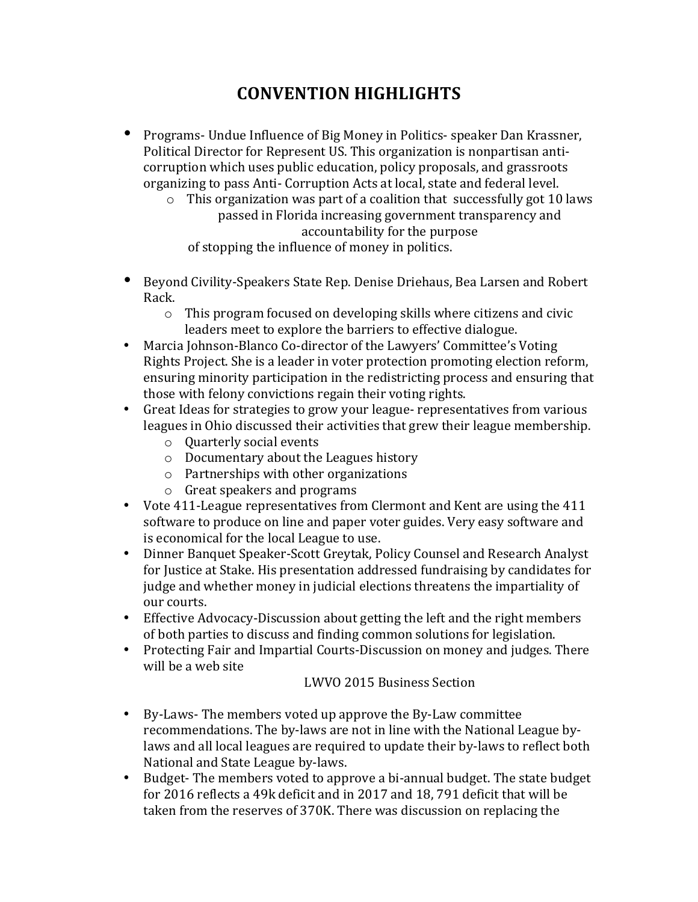## **CONVENTION HIGHLIGHTS**

- Programs- Undue Influence of Big Money in Politics- speaker Dan Krassner, Political Director for Represent US. This organization is nonpartisan anticorruption which uses public education, policy proposals, and grassroots organizing to pass Anti- Corruption Acts at local, state and federal level.
	- $\circ$  This organization was part of a coalition that successfully got 10 laws passed in Florida increasing government transparency and accountability for the purpose of stopping the influence of money in politics.
- Beyond Civility-Speakers State Rep. Denise Driehaus, Bea Larsen and Robert Rack.
	- $\circ$  This program focused on developing skills where citizens and civic leaders meet to explore the barriers to effective dialogue.
- Marcia Johnson-Blanco Co-director of the Lawyers' Committee's Voting Rights Project. She is a leader in voter protection promoting election reform, ensuring minority participation in the redistricting process and ensuring that those with felony convictions regain their voting rights.
- Great Ideas for strategies to grow your league- representatives from various leagues in Ohio discussed their activities that grew their league membership.
	- $\circ$  Ouarterly social events
	- $\circ$  Documentary about the Leagues history
	- $\circ$  Partnerships with other organizations
	- $\circ$  Great speakers and programs
- Vote 411-League representatives from Clermont and Kent are using the 411 software to produce on line and paper voter guides. Very easy software and is economical for the local League to use.
- Dinner Banquet Speaker-Scott Greytak, Policy Counsel and Research Analyst for Justice at Stake. His presentation addressed fundraising by candidates for judge and whether money in judicial elections threatens the impartiality of our courts.
- Effective Advocacy-Discussion about getting the left and the right members of both parties to discuss and finding common solutions for legislation.
- Protecting Fair and Impartial Courts-Discussion on money and judges. There will be a web site

#### LWVO 2015 Business Section

- By-Laws- The members voted up approve the By-Law committee recommendations. The by-laws are not in line with the National League bylaws and all local leagues are required to update their by-laws to reflect both National and State League by-laws.
- Budget- The members voted to approve a bi-annual budget. The state budget for 2016 reflects a 49k deficit and in 2017 and 18, 791 deficit that will be taken from the reserves of 370K. There was discussion on replacing the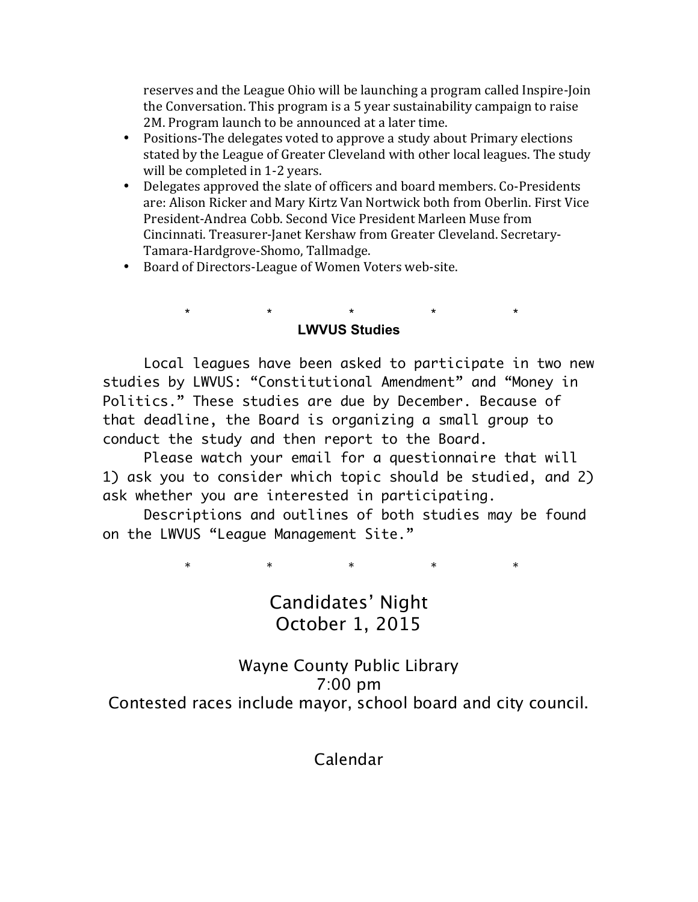reserves and the League Ohio will be launching a program called Inspire-Join the Conversation. This program is a 5 year sustainability campaign to raise 2M. Program launch to be announced at a later time.

- Positions-The delegates voted to approve a study about Primary elections stated by the League of Greater Cleveland with other local leagues. The study will be completed in 1-2 years.
- Delegates approved the slate of officers and board members. Co-Presidents are: Alison Ricker and Mary Kirtz Van Nortwick both from Oberlin. First Vice President-Andrea Cobb. Second Vice President Marleen Muse from Cincinnati. Treasurer-Janet Kershaw from Greater Cleveland. Secretary-Tamara-Hardgrove-Shomo, Tallmadge.
- Board of Directors-League of Women Voters web-site.

#### \* \* \* \* \* **LWVUS Studies**

Local leagues have been asked to participate in two new studies by LWVUS: "Constitutional Amendment" and "Money in Politics." These studies are due by December. Because of that deadline, the Board is organizing a small group to conduct the study and then report to the Board.

Please watch your email for a questionnaire that will 1) ask you to consider which topic should be studied, and 2) ask whether you are interested in participating.

Descriptions and outlines of both studies may be found on the LWVUS "League Management Site."

\* \* \* \* \* \* \* \*

## Candidates' Night October 1, 2015

### Wayne County Public Library 7:00 pm Contested races include mayor, school board and city council.

Calendar